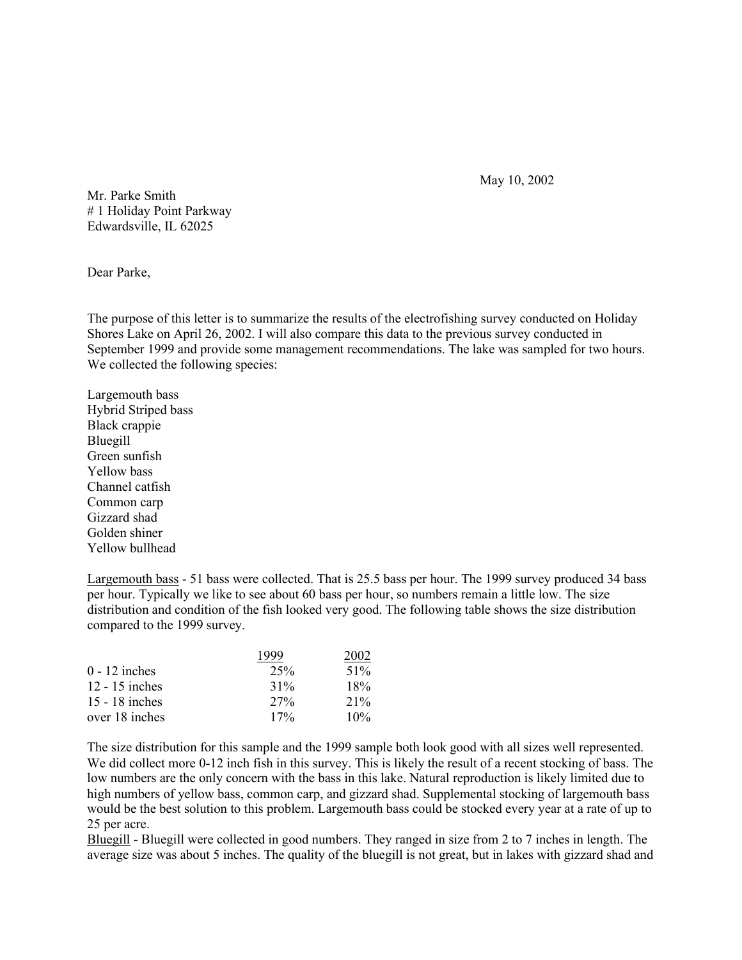May 10, 2002

Mr. Parke Smith # 1 Holiday Point Parkway Edwardsville, IL 62025

Dear Parke,

The purpose of this letter is to summarize the results of the electrofishing survey conducted on Holiday Shores Lake on April 26, 2002. I will also compare this data to the previous survey conducted in September 1999 and provide some management recommendations. The lake was sampled for two hours. We collected the following species:

Largemouth bass Hybrid Striped bass Black crappie Bluegill Green sunfish Yellow bass Channel catfish Common carp Gizzard shad Golden shiner Yellow bullhead

Largemouth bass - 51 bass were collected. That is 25.5 bass per hour. The 1999 survey produced 34 bass per hour. Typically we like to see about 60 bass per hour, so numbers remain a little low. The size distribution and condition of the fish looked very good. The following table shows the size distribution compared to the 1999 survey.

|                  | 1999   | 2002 |
|------------------|--------|------|
| $0 - 12$ inches  | 25%    | 51%  |
| $12 - 15$ inches | $31\%$ | 18%  |
| $15 - 18$ inches | $27\%$ | 21%  |
| over 18 inches   | 17%    | 10%  |

The size distribution for this sample and the 1999 sample both look good with all sizes well represented. We did collect more 0-12 inch fish in this survey. This is likely the result of a recent stocking of bass. The low numbers are the only concern with the bass in this lake. Natural reproduction is likely limited due to high numbers of yellow bass, common carp, and gizzard shad. Supplemental stocking of largemouth bass would be the best solution to this problem. Largemouth bass could be stocked every year at a rate of up to 25 per acre.

Bluegill - Bluegill were collected in good numbers. They ranged in size from 2 to 7 inches in length. The average size was about 5 inches. The quality of the bluegill is not great, but in lakes with gizzard shad and